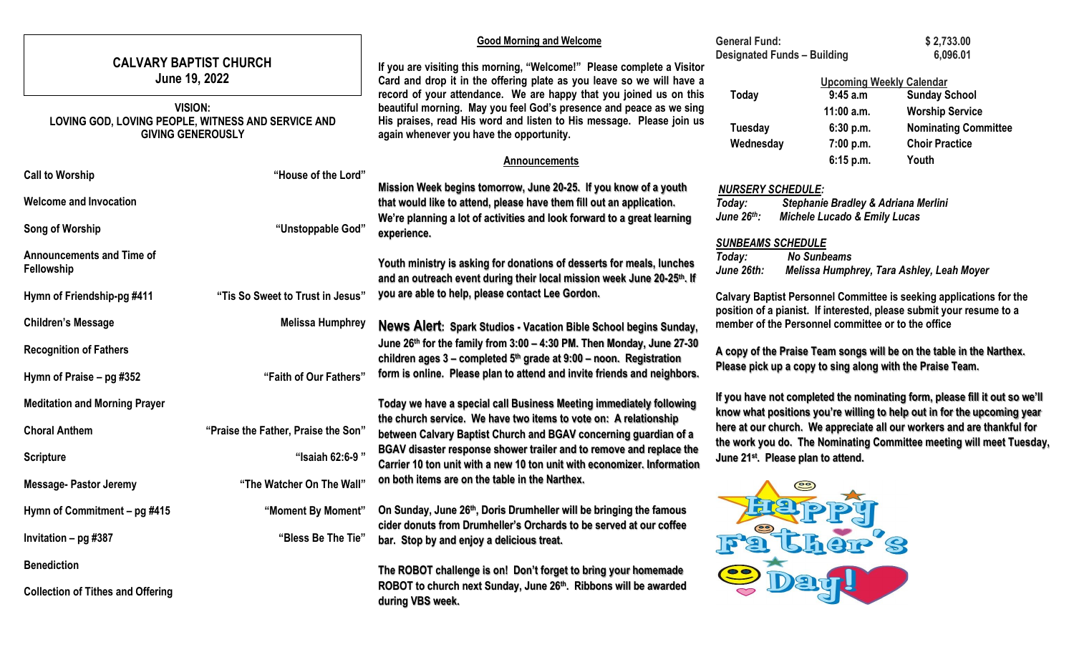|                                                                                                  |                                     | <b>Good Morning and Welcome</b>                                                                                                                                                                                                                               |                                                                                                                                                | <b>General Fund:</b>                                                                                                                        | \$2,733.00                                                                                                                                            |  |  |
|--------------------------------------------------------------------------------------------------|-------------------------------------|---------------------------------------------------------------------------------------------------------------------------------------------------------------------------------------------------------------------------------------------------------------|------------------------------------------------------------------------------------------------------------------------------------------------|---------------------------------------------------------------------------------------------------------------------------------------------|-------------------------------------------------------------------------------------------------------------------------------------------------------|--|--|
| <b>CALVARY BAPTIST CHURCH</b><br>June 19, 2022                                                   |                                     | If you are visiting this morning, "Welcome!" Please complete a Visitor<br>Card and drop it in the offering plate as you leave so we will have a                                                                                                               |                                                                                                                                                | <b>Designated Funds - Building</b><br><b>Upcoming Weekly Calendar</b>                                                                       | 6,096.01                                                                                                                                              |  |  |
| <b>VISION:</b><br>LOVING GOD, LOVING PEOPLE, WITNESS AND SERVICE AND<br><b>GIVING GENEROUSLY</b> |                                     | record of your attendance. We are happy that you joined us on this<br>beautiful morning. May you feel God's presence and peace as we sing<br>His praises, read His word and listen to His message. Please join us<br>again whenever you have the opportunity. | Today<br><b>Tuesday</b><br>Wednesday                                                                                                           | 9:45 a.m<br>$11:00$ a.m.<br>6:30 p.m.<br>7:00 p.m.                                                                                          | <b>Sunday School</b><br><b>Worship Service</b><br><b>Nominating Committee</b><br><b>Choir Practice</b>                                                |  |  |
|                                                                                                  |                                     | <b>Announcements</b>                                                                                                                                                                                                                                          |                                                                                                                                                | 6:15 p.m.                                                                                                                                   | Youth                                                                                                                                                 |  |  |
| <b>Call to Worship</b>                                                                           | "House of the Lord"                 | Mission Week begins tomorrow, June 20-25. If you know of a youth                                                                                                                                                                                              | <b>NURSERY SCHEDULE:</b>                                                                                                                       |                                                                                                                                             |                                                                                                                                                       |  |  |
| <b>Welcome and Invocation</b>                                                                    |                                     | that would like to attend, please have them fill out an application.                                                                                                                                                                                          | Today:                                                                                                                                         | Stephanie Bradley & Adriana Merlini                                                                                                         |                                                                                                                                                       |  |  |
| Song of Worship                                                                                  | "Unstoppable God"                   | We're planning a lot of activities and look forward to a great learning<br>experience.                                                                                                                                                                        | June 26th:                                                                                                                                     | <b>Michele Lucado &amp; Emily Lucas</b>                                                                                                     |                                                                                                                                                       |  |  |
| <b>Announcements and Time of</b><br>Fellowship                                                   |                                     | Youth ministry is asking for donations of desserts for meals, lunches<br>and an outreach event during their local mission week June 20-25 <sup>th</sup> . If                                                                                                  | <b>SUNBEAMS SCHEDULE</b><br>Today:<br>June 26th:                                                                                               | <b>No Sunbeams</b>                                                                                                                          | Melissa Humphrey, Tara Ashley, Leah Moyer                                                                                                             |  |  |
| Hymn of Friendship-pg #411                                                                       | "Tis So Sweet to Trust in Jesus"    | you are able to help, please contact Lee Gordon.                                                                                                                                                                                                              |                                                                                                                                                | Calvary Baptist Personnel Committee is seeking applications for the<br>position of a pianist. If interested, please submit your resume to a |                                                                                                                                                       |  |  |
| <b>Children's Message</b>                                                                        | <b>Melissa Humphrey</b>             | News Alert: Spark Studios - Vacation Bible School begins Sunday,                                                                                                                                                                                              |                                                                                                                                                | member of the Personnel committee or to the office                                                                                          |                                                                                                                                                       |  |  |
| <b>Recognition of Fathers</b>                                                                    |                                     | June 26th for the family from 3:00 - 4:30 PM. Then Monday, June 27-30<br>children ages $3$ – completed $5th$ grade at $9:00$ – noon. Registration                                                                                                             |                                                                                                                                                |                                                                                                                                             | A copy of the Praise Team songs will be on the table in the Narthex.                                                                                  |  |  |
| Hymn of Praise – pg #352                                                                         | "Faith of Our Fathers"              | form is online. Please plan to attend and invite friends and neighbors.                                                                                                                                                                                       | Please pick up a copy to sing along with the Praise Team.                                                                                      |                                                                                                                                             |                                                                                                                                                       |  |  |
| <b>Meditation and Morning Prayer</b>                                                             |                                     | Today we have a special call Business Meeting immediately following                                                                                                                                                                                           |                                                                                                                                                |                                                                                                                                             | If you have not completed the nominating form, please fill it out so we'll<br>know what positions you're willing to help out in for the upcoming year |  |  |
| <b>Choral Anthem</b>                                                                             | "Praise the Father, Praise the Son" | the church service. We have two items to vote on: A relationship<br>between Calvary Baptist Church and BGAV concerning guardian of a                                                                                                                          | here at our church. We appreciate all our workers and are thankful for<br>the work you do. The Nominating Committee meeting will meet Tuesday, |                                                                                                                                             |                                                                                                                                                       |  |  |
| <b>Scripture</b>                                                                                 | "Isaiah 62:6-9"                     | BGAV disaster response shower trailer and to remove and replace the<br>Carrier 10 ton unit with a new 10 ton unit with economizer. Information                                                                                                                |                                                                                                                                                | June 21 <sup>st</sup> . Please plan to attend.                                                                                              |                                                                                                                                                       |  |  |
| Message- Pastor Jeremy                                                                           | "The Watcher On The Wall"           | on both items are on the table in the Narthex.                                                                                                                                                                                                                |                                                                                                                                                |                                                                                                                                             |                                                                                                                                                       |  |  |
| Hymn of Commitment – pg #415                                                                     |                                     | "Moment By Moment" On Sunday, June 26th, Doris Drumheller will be bringing the famous<br>cider donuts from Drumheller's Orchards to be served at our coffee                                                                                                   |                                                                                                                                                | <b>2717</b><br>d                                                                                                                            |                                                                                                                                                       |  |  |
| Invitation – pg #387                                                                             | "Bless Be The Tie"                  | bar. Stop by and enjoy a delicious treat.                                                                                                                                                                                                                     |                                                                                                                                                |                                                                                                                                             |                                                                                                                                                       |  |  |
| <b>Benediction</b>                                                                               |                                     | The ROBOT challenge is on! Don't forget to bring your homemade                                                                                                                                                                                                |                                                                                                                                                |                                                                                                                                             |                                                                                                                                                       |  |  |
| <b>Collection of Tithes and Offering</b>                                                         |                                     | ROBOT to church next Sunday, June 26th. Ribbons will be awarded<br>during VBS week.                                                                                                                                                                           |                                                                                                                                                |                                                                                                                                             |                                                                                                                                                       |  |  |